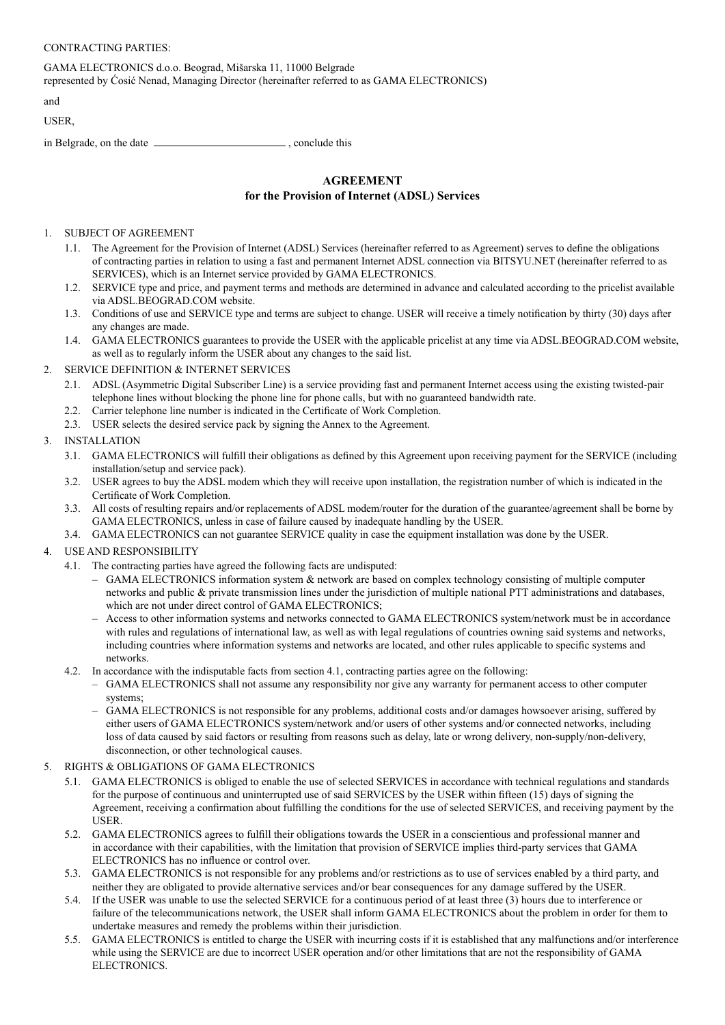| GAMA ELECTRONICS d.o.o. Beograd, Mišarska 11, 11000 Belgrade<br>represented by Cosić Nenad, Managing Director (hereinafter referred to as GAMA ELECTRONICS) |  |
|-------------------------------------------------------------------------------------------------------------------------------------------------------------|--|
| and                                                                                                                                                         |  |
| USER.                                                                                                                                                       |  |
| in Belgrade, on the date<br>conclude this                                                                                                                   |  |

# **AGREEMENT for the Provision of Internet (ADSL) Services**

### 1. SUBJECT OF AGREEMENT

- 1.1. The Agreement for the Provision of Internet (ADSL) Services (hereinafter referred to as Agreement) serves to define the obligations of contracting parties in relation to using a fast and permanent Internet ADSL connection via BITSYU.NET (hereinafter referred to as SERVICES), which is an Internet service provided by GAMA ELECTRONICS.
- 1.2. SERVICE type and price, and payment terms and methods are determined in advance and calculated according to the pricelist available via ADSL.BEOGRAD.COM website.
- 1.3. Conditions of use and SERVICE type and terms are subject to change. USER will receive a timely notification by thirty (30) days after any changes are made.
- 1.4. GAMA ELECTRONICS guarantees to provide the USER with the applicable pricelist at any time via ADSL.BEOGRAD.COM website, as well as to regularly inform the USER about any changes to the said list.

#### 2. SERVICE DEFINITION & INTERNET SERVICES

- 2.1. ADSL (Asymmetric Digital Subscriber Line) is a service providing fast and permanent Internet access using the existing twisted-pair telephone lines without blocking the phone line for phone calls, but with no guaranteed bandwidth rate.
- 2.2. Carrier telephone line number is indicated in the Certificate of Work Completion.
- 2.3. USER selects the desired service pack by signing the Annex to the Agreement.

### 3. INSTALLATION

- 3.1. GAMA ELECTRONICS will fulfill their obligations as defined by this Agreement upon receiving payment for the SERVICE (including installation/setup and service pack).
- 3.2. USER agrees to buy the ADSL modem which they will receive upon installation, the registration number of which is indicated in the Certificate of Work Completion.
- 3.3. All costs of resulting repairs and/or replacements of ADSL modem/router for the duration of the guarantee/agreement shall be borne by GAMA ELECTRONICS, unless in case of failure caused by inadequate handling by the USER.
- 3.4. GAMA ELECTRONICS can not guarantee SERVICE quality in case the equipment installation was done by the USER.

# 4. USE AND RESPONSIBILITY

- 4.1. The contracting parties have agreed the following facts are undisputed:
	- GAMA ELECTRONICS information system & network are based on complex technology consisting of multiple computer networks and public & private transmission lines under the jurisdiction of multiple national PTT administrations and databases, which are not under direct control of GAMA ELECTRONICS;
	- Access to other information systems and networks connected to GAMA ELECTRONICS system/network must be in accordance with rules and regulations of international law, as well as with legal regulations of countries owning said systems and networks, including countries where information systems and networks are located, and other rules applicable to specific systems and networks.
- 4.2. In accordance with the indisputable facts from section 4.1, contracting parties agree on the following:
	- GAMA ELECTRONICS shall not assume any responsibility nor give any warranty for permanent access to other computer systems;
	- GAMA ELECTRONICS is not responsible for any problems, additional costs and/or damages howsoever arising, suffered by either users of GAMA ELECTRONICS system/network and/or users of other systems and/or connected networks, including loss of data caused by said factors or resulting from reasons such as delay, late or wrong delivery, non-supply/non-delivery, disconnection, or other technological causes.
- 5. RIGHTS & OBLIGATIONS OF GAMA ELECTRONICS
	- 5.1. GAMA ELECTRONICS is obliged to enable the use of selected SERVICES in accordance with technical regulations and standards for the purpose of continuous and uninterrupted use of said SERVICES by the USER within fi fteen (15) days of signing the Agreement, receiving a confirmation about fulfilling the conditions for the use of selected SERVICES, and receiving payment by the **USER**
	- 5.2. GAMA ELECTRONICS agrees to fulfill their obligations towards the USER in a conscientious and professional manner and in accordance with their capabilities, with the limitation that provision of SERVICE implies third-party services that GAMA ELECTRONICS has no influence or control over.
	- 5.3. GAMA ELECTRONICS is not responsible for any problems and/or restrictions as to use of services enabled by a third party, and neither they are obligated to provide alternative services and/or bear consequences for any damage suffered by the USER.
	- 5.4. If the USER was unable to use the selected SERVICE for a continuous period of at least three (3) hours due to interference or failure of the telecommunications network, the USER shall inform GAMA ELECTRONICS about the problem in order for them to undertake measures and remedy the problems within their jurisdiction.
	- 5.5. GAMA ELECTRONICS is entitled to charge the USER with incurring costs if it is established that any malfunctions and/or interference while using the SERVICE are due to incorrect USER operation and/or other limitations that are not the responsibility of GAMA ELECTRONICS.